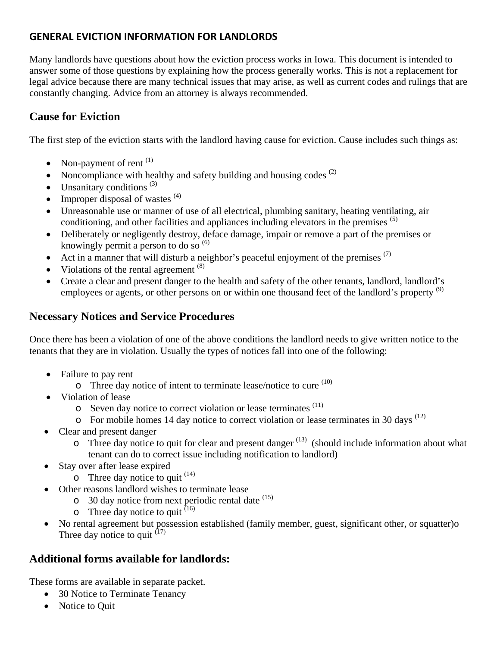# **GENERAL EVICTION INFORMATION FOR LANDLORDS**

Many landlords have questions about how the eviction process works in Iowa. This document is intended to answer some of those questions by explaining how the process generally works. This is not a replacement for legal advice because there are many technical issues that may arise, as well as current codes and rulings that are constantly changing. Advice from an attorney is always recommended.

# **Cause for Eviction**

The first step of the eviction starts with the landlord having cause for eviction. Cause includes such things as:

- Non-payment of rent  $^{(1)}$
- Noncompliance with healthy and safety building and housing codes  $(2)$
- Unsanitary conditions  $(3)$
- Improper disposal of wastes  $(4)$
- Unreasonable use or manner of use of all electrical, plumbing sanitary, heating ventilating, air conditioning, and other facilities and appliances including elevators in the premises  $(5)$
- Deliberately or negligently destroy, deface damage, impair or remove a part of the premises or knowingly permit a person to do so  $(6)$
- Act in a manner that will disturb a neighbor's peaceful enjoyment of the premises  $(7)$
- Violations of the rental agreement  $(8)$
- Create a clear and present danger to the health and safety of the other tenants, landlord, landlord's employees or agents, or other persons on or within one thousand feet of the landlord's property <sup>(9)</sup>

## **Necessary Notices and Service Procedures**

Once there has been a violation of one of the above conditions the landlord needs to give written notice to the tenants that they are in violation. Usually the types of notices fall into one of the following:

- Failure to pay rent
	- $\circ$  Three day notice of intent to terminate lease/notice to cure  $(10)$
- Violation of lease
	- $\circ$  Seven day notice to correct violation or lease terminates  $(11)$
	- $\circ$  For mobile homes 14 day notice to correct violation or lease terminates in 30 days  $^{(12)}$
- Clear and present danger
	- $\circ$  Three day notice to quit for clear and present danger  $^{(13)}$  (should include information about what tenant can do to correct issue including notification to landlord)
- Stay over after lease expired
	- $\circ$  Three day notice to quit  $^{(14)}$
- Other reasons landlord wishes to terminate lease
	- $\circ$  30 day notice from next periodic rental date  $(15)$
	- $\circ$  Three day notice to quit  $^{(16)}$
- No rental agreement but possession established (family member, guest, significant other, or squatter)o Three day notice to quit  $(17)$

### **Additional forms available for landlords:**

These forms are available in separate packet.

- 30 Notice to Terminate Tenancy
- Notice to Quit